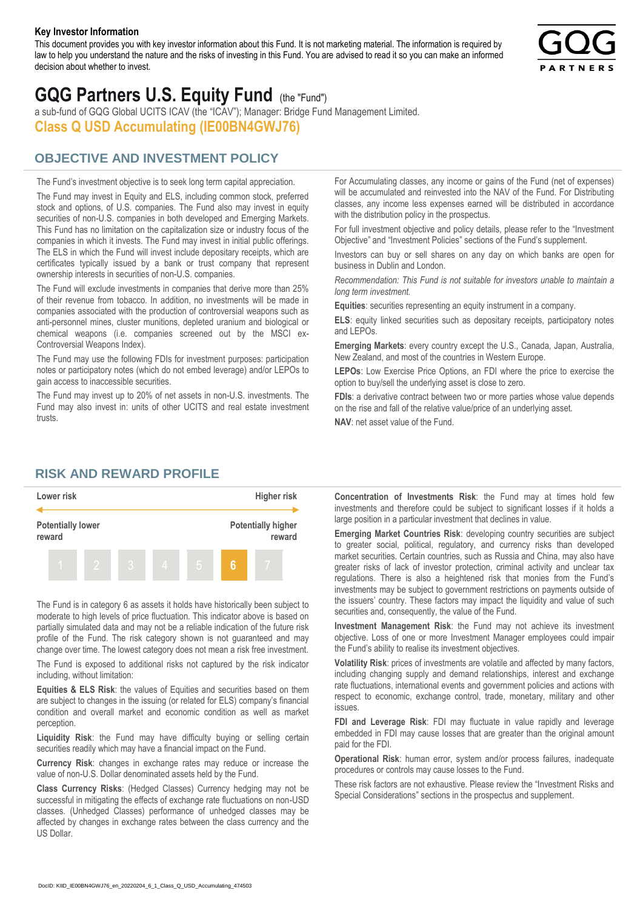#### **Key Investor Information**

This document provides you with key investor information about this Fund. It is not marketing material. The information is required by law to help you understand the nature and the risks of investing in this Fund. You are advised to read it so you can make an informed decision about whether to invest.



# **GQG Partners U.S. Equity Fund** (the "Fund")

a sub-fund of GQG Global UCITS ICAV (the "ICAV"); Manager: Bridge Fund Management Limited. **Class Q USD Accumulating (IE00BN4GWJ76)**

### **OBJECTIVE AND INVESTMENT POLICY**

The Fund's investment objective is to seek long term capital appreciation. The Fund may invest in Equity and ELS, including common stock, preferred stock and options, of U.S. companies. The Fund also may invest in equity securities of non-U.S. companies in both developed and Emerging Markets. This Fund has no limitation on the capitalization size or industry focus of the companies in which it invests. The Fund may invest in initial public offerings. The ELS in which the Fund will invest include depositary receipts, which are certificates typically issued by a bank or trust company that represent ownership interests in securities of non-U.S. companies.

The Fund will exclude investments in companies that derive more than 25% of their revenue from tobacco. In addition, no investments will be made in companies associated with the production of controversial weapons such as anti-personnel mines, cluster munitions, depleted uranium and biological or chemical weapons (i.e. companies screened out by the MSCI ex-Controversial Weapons Index).

The Fund may use the following FDIs for investment purposes: participation notes or participatory notes (which do not embed leverage) and/or LEPOs to gain access to inaccessible securities.

The Fund may invest up to 20% of net assets in non-U.S. investments. The Fund may also invest in: units of other UCITS and real estate investment trusts.

For Accumulating classes, any income or gains of the Fund (net of expenses) will be accumulated and reinvested into the NAV of the Fund. For Distributing classes, any income less expenses earned will be distributed in accordance with the distribution policy in the prospectus.

For full investment objective and policy details, please refer to the "Investment Objective" and "Investment Policies" sections of the Fund's supplement.

Investors can buy or sell shares on any day on which banks are open for business in Dublin and London.

*Recommendation: This Fund is not suitable for investors unable to maintain a long term investment.*

**Equities**: securities representing an equity instrument in a company.

**ELS**: equity linked securities such as depositary receipts, participatory notes and LEPOs.

**Emerging Markets**: every country except the U.S., Canada, Japan, Australia, New Zealand, and most of the countries in Western Europe.

**LEPOs**: Low Exercise Price Options, an FDI where the price to exercise the option to buy/sell the underlying asset is close to zero.

**FDIs**: a derivative contract between two or more parties whose value depends on the rise and fall of the relative value/price of an underlying asset.

**NAV**: net asset value of the Fund.

#### **RISK AND REWARD PROFILE**



The Fund is in category 6 as assets it holds have historically been subject to moderate to high levels of price fluctuation. This indicator above is based on partially simulated data and may not be a reliable indication of the future risk profile of the Fund. The risk category shown is not guaranteed and may change over time. The lowest category does not mean a risk free investment.

The Fund is exposed to additional risks not captured by the risk indicator including, without limitation:

**Equities & ELS Risk**: the values of Equities and securities based on them are subject to changes in the issuing (or related for ELS) company's financial condition and overall market and economic condition as well as market perception.

**Liquidity Risk**: the Fund may have difficulty buying or selling certain securities readily which may have a financial impact on the Fund.

**Currency Risk**: changes in exchange rates may reduce or increase the value of non-U.S. Dollar denominated assets held by the Fund.

**Class Currency Risks**: (Hedged Classes) Currency hedging may not be successful in mitigating the effects of exchange rate fluctuations on non-USD classes. (Unhedged Classes) performance of unhedged classes may be affected by changes in exchange rates between the class currency and the US Dollar.

**Concentration of Investments Risk**: the Fund may at times hold few investments and therefore could be subject to significant losses if it holds a large position in a particular investment that declines in value.

**Emerging Market Countries Risk**: developing country securities are subject to greater social, political, regulatory, and currency risks than developed market securities. Certain countries, such as Russia and China, may also have greater risks of lack of investor protection, criminal activity and unclear tax regulations. There is also a heightened risk that monies from the Fund's investments may be subject to government restrictions on payments outside of the issuers' country. These factors may impact the liquidity and value of such securities and, consequently, the value of the Fund.

**Investment Management Risk**: the Fund may not achieve its investment objective. Loss of one or more Investment Manager employees could impair the Fund's ability to realise its investment objectives.

**Volatility Risk**: prices of investments are volatile and affected by many factors, including changing supply and demand relationships, interest and exchange rate fluctuations, international events and government policies and actions with respect to economic, exchange control, trade, monetary, military and other issues.

**FDI and Leverage Risk**: FDI may fluctuate in value rapidly and leverage embedded in FDI may cause losses that are greater than the original amount paid for the FDI.

**Operational Risk**: human error, system and/or process failures, inadequate procedures or controls may cause losses to the Fund.

These risk factors are not exhaustive. Please review the "Investment Risks and Special Considerations" sections in the prospectus and supplement.